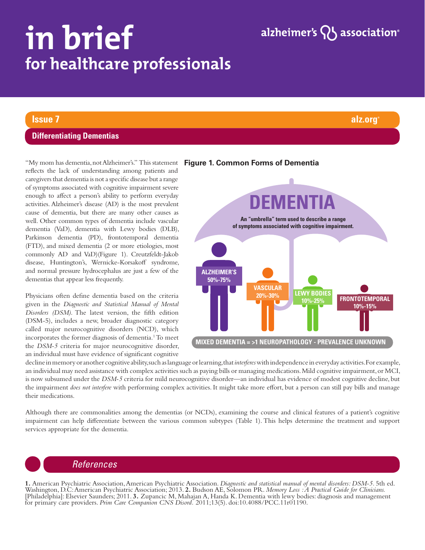# in brief for healthcare professionals

# alzheimer's  $\{ \}$  association<sup>®</sup>

## **Issue 7 alz.org®**

#### **Differentiating Dementias**

"My mom has dementia, not Alzheimer's." This statement **Figure 1. Common Forms of Dementia**reflects the lack of understanding among patients and caregivers that dementia is not a specific disease but a range of symptoms associated with cognitive impairment severe enough to affect a person's ability to perform everyday activities. Alzheimer's disease (AD) is the most prevalent cause of dementia, but there are many other causes as well. Other common types of dementia include vascular dementia (VaD), dementia with Lewy bodies (DLB), Parkinson dementia (PD), frontotemporal dementia (FTD), and mixed dementia (2 or more etiologies, most commonly AD and VaD)(Figure 1). Creutzfeldt-Jakob disease, Huntington's, Wernicke-Korsakoff syndrome, and normal pressure hydrocephalus are just a few of the dementias that appear less frequently.

Physicians often define dementia based on the criteria given in the *Diagnostic and Statistical Manual of Mental Disorders (DSM)*. The latest version, the fifth edition (DSM-5), includes a new, broader diagnostic category called major neurocognitive disorders (NCD), which incorporates the former diagnosis of dementia.1 To meet the *DSM-5* criteria for major neurocognitive disorder,



#### an individual must have evidence of significant cognitive decline in memory or another cognitive ability, such as language or learning, that *interferes* with independence in everyday activities. For example, an individual may need assistance with complex activities such as paying bills or managing medications. Mild cognitive impairment, or MCI, is now subsumed under the *DSM-5* criteria for mild neurocognitive disorder—an individual has evidence of modest cognitive decline, but the impairment *does not interfere* with performing complex activities. It might take more effort, but a person can still pay bills and manage

Although there are commonalities among the dementias (or NCDs), examining the course and clinical features of a patient's cognitive impairment can help differentiate between the various common subtypes (Table 1). This helps determine the treatment and support services appropriate for the dementia.

# *References*

their medications.

**1.** American Psychiatric Association, American Psychiatric Association. *Diagnostic and statistical manual of mental disorders: DSM-5.* 5th ed. Washington, D.C: American Psychiatric Association; 2013. **2.** Budson AE, Solomon PR. *Memory Loss : A Practical Guide for Clinicians.* [Philadelphia]: Elsevier Saunders; 2011. **3.** Zupancic M, Mahajan A, Handa K. Dementia with lewy bodies: diagnosis and management for primary care providers. *Prim Care Companion CNS Disord.* 2011;13(5). doi:10.4088/PCC.11r01190.